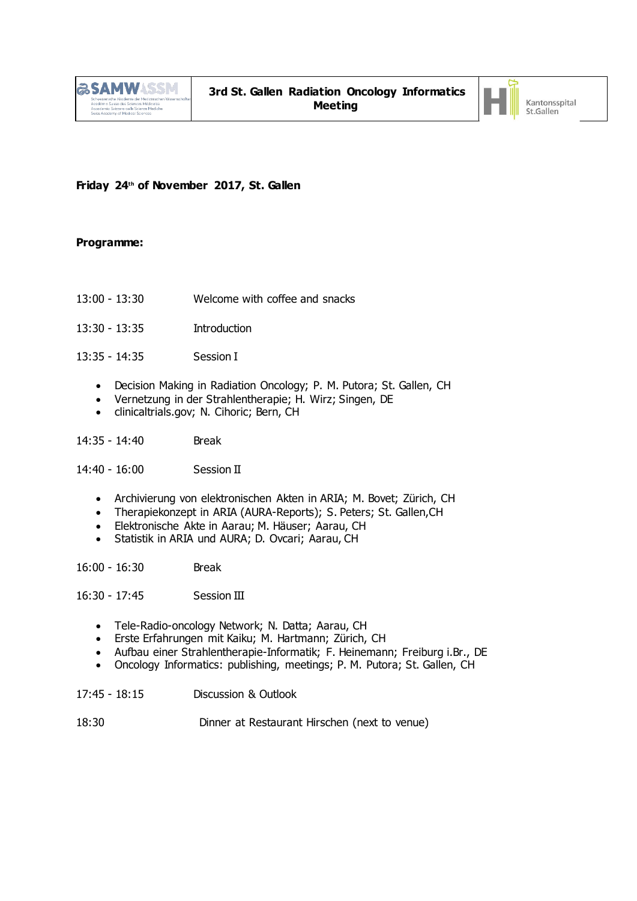

## **Friday 24th of November 2017, St. Gallen**

## **Programme:**

- 13:00 13:30 Welcome with coffee and snacks
- 13:30 13:35 Introduction
- 13:35 14:35 Session I
	- Decision Making in Radiation Oncology; P. M. Putora; St. Gallen, CH
	- Vernetzung in der Strahlentherapie; H. Wirz; Singen, DE
	- clinicaltrials.gov; N. Cihoric; Bern, CH

14:35 - 14:40 Break

14:40 - 16:00 Session II

- Archivierung von elektronischen Akten in ARIA; M. Bovet; Zürich, CH
- Therapiekonzept in ARIA (AURA-Reports); S. Peters; St. Gallen,CH
- Elektronische Akte in Aarau; M. Häuser; Aarau, CH
- Statistik in ARIA und AURA; D. Ovcari; Aarau, CH

16:00 - 16:30 Break

16:30 - 17:45 Session III

- Tele-Radio-oncology Network; N. Datta; Aarau, CH
- Erste Erfahrungen mit Kaiku; M. Hartmann; Zürich, CH
- Aufbau einer Strahlentherapie-Informatik; F. Heinemann; Freiburg i.Br., DE
- Oncology Informatics: publishing, meetings; P. M. Putora; St. Gallen, CH
- 17:45 18:15 Discussion & Outlook
- 18:30 Dinner at Restaurant Hirschen (next to venue)